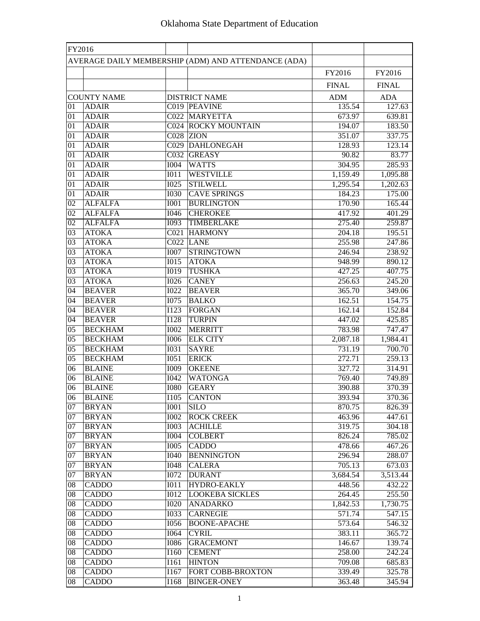| FY2016          |                    |                   |                                                     |              |              |
|-----------------|--------------------|-------------------|-----------------------------------------------------|--------------|--------------|
|                 |                    |                   | AVERAGE DAILY MEMBERSHIP (ADM) AND ATTENDANCE (ADA) |              |              |
|                 |                    |                   |                                                     | FY2016       | FY2016       |
|                 |                    |                   |                                                     | <b>FINAL</b> | <b>FINAL</b> |
|                 | <b>COUNTY NAME</b> |                   | <b>DISTRICT NAME</b>                                | <b>ADM</b>   | <b>ADA</b>   |
| 01              | <b>ADAIR</b>       |                   | C019 PEAVINE                                        | 135.54       | 127.63       |
| 01              | <b>ADAIR</b>       |                   | C022 MARYETTA                                       | 673.97       | 639.81       |
| 01              | <b>ADAIR</b>       |                   | <b>C024 ROCKY MOUNTAIN</b>                          | 194.07       | 183.50       |
| 01              | <b>ADAIR</b>       |                   | $CO28$ ZION                                         | 351.07       | 337.75       |
| 01              | <b>ADAIR</b>       |                   | C029 DAHLONEGAH                                     | 128.93       | 123.14       |
| 01              | <b>ADAIR</b>       |                   | C032 GREASY                                         | 90.82        | 83.77        |
| 01              | <b>ADAIR</b>       | <b>I004</b>       | <b>WATTS</b>                                        | 304.95       | 285.93       |
| 01              | <b>ADAIR</b>       | I011              | <b>WESTVILLE</b>                                    | 1,159.49     | 1,095.88     |
| 01              | <b>ADAIR</b>       | <b>I025</b>       | <b>STILWELL</b>                                     | 1,295.54     | 1,202.63     |
| 01              | <b>ADAIR</b>       | <b>I030</b>       | <b>CAVE SPRINGS</b>                                 | 184.23       | 175.00       |
| 02              | <b>ALFALFA</b>     | <b>I001</b>       | <b>BURLINGTON</b>                                   | 170.90       | 165.44       |
| 02              | <b>ALFALFA</b>     | I046              | <b>CHEROKEE</b>                                     | 417.92       | 401.29       |
| 02              | <b>ALFALFA</b>     | I093              | TIMBERLAKE                                          | 275.40       | 259.87       |
| 03              | <b>ATOKA</b>       |                   | C021 HARMONY                                        | 204.18       | 195.51       |
| 03              | <b>ATOKA</b>       |                   | C022 LANE                                           | 255.98       | 247.86       |
| 03              | <b>ATOKA</b>       | <b>I007</b>       | STRINGTOWN                                          | 246.94       | 238.92       |
| 03              | <b>ATOKA</b>       | I015              | <b>ATOKA</b>                                        | 948.99       | 890.12       |
| 03              | <b>ATOKA</b>       | I019              | <b>TUSHKA</b>                                       | 427.25       | 407.75       |
| 03              | <b>ATOKA</b>       | <b>I026</b>       | <b>CANEY</b>                                        | 256.63       | 245.20       |
| $\overline{04}$ | <b>BEAVER</b>      | $\overline{1022}$ | <b>BEAVER</b>                                       | 365.70       | 349.06       |
| 04              | <b>BEAVER</b>      | <b>I075</b>       | <b>BALKO</b>                                        | 162.51       | 154.75       |
| 04              | <b>BEAVER</b>      | I123              | <b>FORGAN</b>                                       | 162.14       | 152.84       |
| 04              | <b>BEAVER</b>      | <b>I128</b>       | <b>TURPIN</b>                                       | 447.02       | 425.85       |
| $\overline{05}$ | <b>BECKHAM</b>     | <b>I002</b>       | <b>MERRITT</b>                                      | 783.98       | 747.47       |
| 05              | <b>BECKHAM</b>     | <b>I006</b>       | <b>ELK CITY</b>                                     | 2,087.18     | 1,984.41     |
| 05              | <b>BECKHAM</b>     | <b>I031</b>       | <b>SAYRE</b>                                        | 731.19       | 700.70       |
| 05              | <b>BECKHAM</b>     | I051              | <b>ERICK</b>                                        | 272.71       | 259.13       |
| 06              | <b>BLAINE</b>      | <b>I009</b>       | <b>OKEENE</b>                                       | 327.72       | 314.91       |
| 06              | <b>BLAINE</b>      | <b>I042</b>       | <b>WATONGA</b>                                      | 769.40       | 749.89       |
| 06              | <b>BLAINE</b>      | <b>I080</b>       | <b>GEARY</b>                                        | 390.88       | 370.39       |
| 06              | <b>BLAINE</b>      |                   | $[1105]$ CANTON                                     | 393.94       | 370.36       |
| 07              | <b>BRYAN</b>       | I001              | <b>SILO</b>                                         | 870.75       | 826.39       |
| 07              | <b>BRYAN</b>       | 1002              | <b>ROCK CREEK</b>                                   | 463.96       | 447.61       |
| 07              | <b>BRYAN</b>       | <b>I003</b>       | <b>ACHILLE</b>                                      | 319.75       | 304.18       |
| 07              | <b>BRYAN</b>       | 1004              | <b>COLBERT</b>                                      | 826.24       | 785.02       |
| 07              | <b>BRYAN</b>       | <b>I005</b>       | <b>CADDO</b>                                        | 478.66       | 467.26       |
| 07              | <b>BRYAN</b>       | <b>I040</b>       | <b>BENNINGTON</b>                                   | 296.94       | 288.07       |
| 07              | <b>BRYAN</b>       | <b>I048</b>       | <b>CALERA</b>                                       | 705.13       | 673.03       |
| 07              | <b>BRYAN</b>       | <b>I072</b>       | <b>DURANT</b>                                       | 3,684.54     | 3,513.44     |
| 08              | <b>CADDO</b>       | <b>IO11</b>       | HYDRO-EAKLY                                         | 448.56       | 432.22       |
| 08              | <b>CADDO</b>       | <b>I012</b>       | <b>LOOKEBA SICKLES</b>                              | 264.45       | 255.50       |
| $08\,$          | <b>CADDO</b>       | <b>I020</b>       | <b>ANADARKO</b>                                     | 1,842.53     | 1,730.75     |
| $08\,$          | CADD <sub>O</sub>  | <b>I033</b>       | <b>CARNEGIE</b>                                     | 571.74       | 547.15       |
| 08              | <b>CADDO</b>       | <b>I056</b>       | <b>BOONE-APACHE</b>                                 | 573.64       | 546.32       |
| $08\,$          | <b>CADDO</b>       | I064              | <b>CYRIL</b>                                        | 383.11       | 365.72       |
| 08              | <b>CADDO</b>       | <b>I086</b>       | <b>GRACEMONT</b>                                    | 146.67       | 139.74       |
| $08\,$          | <b>CADDO</b>       | I160              | <b>CEMENT</b>                                       | 258.00       | 242.24       |
| 08              | <b>CADDO</b>       | I161              | <b>HINTON</b>                                       | 709.08       | 685.83       |
| 08              | <b>CADDO</b>       | I167              | <b>FORT COBB-BROXTON</b>                            | 339.49       | 325.78       |
| 08              | <b>CADDO</b>       | I168              | <b>BINGER-ONEY</b>                                  | 363.48       | 345.94       |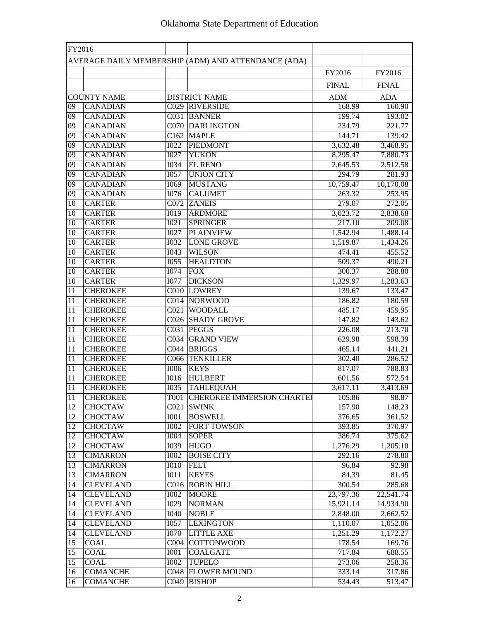| FY2016 |                    |             |                                                     |              |              |
|--------|--------------------|-------------|-----------------------------------------------------|--------------|--------------|
|        |                    |             | AVERAGE DAILY MEMBERSHIP (ADM) AND ATTENDANCE (ADA) |              |              |
|        |                    |             |                                                     | FY2016       | FY2016       |
|        |                    |             |                                                     | <b>FINAL</b> | <b>FINAL</b> |
|        | <b>COUNTY NAME</b> |             | <b>DISTRICT NAME</b>                                | <b>ADM</b>   | <b>ADA</b>   |
| 09     | <b>CANADIAN</b>    |             | C029 RIVERSIDE                                      | 168.99       | 160.90       |
| 09     | <b>CANADIAN</b>    |             | C031 BANNER                                         | 199.74       | 193.02       |
| 09     | <b>CANADIAN</b>    |             | <b>C070 DARLINGTON</b>                              | 234.79       | 221.77       |
| 09     | <b>CANADIAN</b>    |             | C <sub>162</sub> MAPLE                              | 144.71       | 139.42       |
| 09     | <b>CANADIAN</b>    | <b>I022</b> | PIEDMONT                                            | 3,632.48     | 3,468.95     |
| 09     | <b>CANADIAN</b>    | <b>I027</b> | <b>YUKON</b>                                        | 8,295.47     | 7,880.73     |
| 09     | <b>CANADIAN</b>    | <b>I034</b> | <b>EL RENO</b>                                      | 2,645.53     | 2,512.58     |
| 09     | <b>CANADIAN</b>    | <b>I057</b> | <b>UNION CITY</b>                                   | 294.79       | 281.93       |
| 09     | <b>CANADIAN</b>    | I069        | <b>MUSTANG</b>                                      | 10,759.47    | 10,170.08    |
| 09     | <b>CANADIAN</b>    | I076        | <b>CALUMET</b>                                      | 263.32       | 253.95       |
| 10     | <b>CARTER</b>      |             | C072 ZANEIS                                         | 279.07       | 272.05       |
| 10     | <b>CARTER</b>      | <b>IO19</b> | <b>ARDMORE</b>                                      | 3,023.72     | 2,838.68     |
| 10     | <b>CARTER</b>      | I021        | <b>SPRINGER</b>                                     | 217.10       | 209.08       |
| 10     | <b>CARTER</b>      | <b>I027</b> | <b>PLAINVIEW</b>                                    | 1,542.94     | 1,488.14     |
| 10     | <b>CARTER</b>      | <b>I032</b> | <b>LONE GROVE</b>                                   | 1,519.87     | 1,434.26     |
| 10     | <b>CARTER</b>      | I043        | <b>WILSON</b>                                       | 474.41       | 455.52       |
| 10     | <b>CARTER</b>      | <b>I055</b> | <b>HEALDTON</b>                                     | 509.37       | 490.21       |
| 10     | <b>CARTER</b>      | 1074        | <b>FOX</b>                                          | 300.37       | 288.80       |
| 10     | <b>CARTER</b>      | <b>I077</b> | <b>DICKSON</b>                                      | 1,329.97     | 1,283.63     |
| 11     | <b>CHEROKEE</b>    |             | C010 LOWREY                                         | 139.67       | 133.47       |
| 11     | <b>CHEROKEE</b>    |             | C014 NORWOOD                                        | 186.82       | 180.59       |
| 11     | <b>CHEROKEE</b>    |             | C021 WOODALL                                        | 485.17       | 459.95       |
| 11     | <b>CHEROKEE</b>    |             | C026 SHADY GROVE                                    | 147.82       | 143.62       |
| 11     | <b>CHEROKEE</b>    |             | C031 PEGGS                                          | 226.08       | 213.70       |
| 11     | <b>CHEROKEE</b>    |             | <b>C034 GRAND VIEW</b>                              | 629.98       | 598.39       |
| 11     | <b>CHEROKEE</b>    |             | C044 BRIGGS                                         | 465.14       | 441.21       |
| 11     | <b>CHEROKEE</b>    |             | C066 TENKILLER                                      | 302.40       | 286.52       |
| 11     | <b>CHEROKEE</b>    | <b>I006</b> | <b>KEYS</b>                                         | 817.07       | 788.83       |
| 11     | <b>CHEROKEE</b>    | <b>I016</b> | <b>HULBERT</b>                                      | 601.56       | 572.54       |
| 11     | <b>CHEROKEE</b>    | <b>I035</b> | <b>TAHLEQUAH</b>                                    | 3,617.11     | 3,413.69     |
| 11     | <b>CHEROKEE</b>    |             | T001 CHEROKEE IMMERSION CHARTEI                     | 105.86       | 98.87        |
| 12     | <b>CHOCTAW</b>     |             | C021 SWINK                                          | 157.90       | 148.23       |
| 12     | <b>CHOCTAW</b>     | I001        | <b>BOSWELL</b>                                      | 376.65       | 361.52       |
| 12     | <b>CHOCTAW</b>     | <b>I002</b> | <b>FORT TOWSON</b>                                  | 393.85       | 370.97       |
| 12     | <b>CHOCTAW</b>     | 1004        | <b>SOPER</b>                                        | 386.74       | 375.62       |
| 12     | <b>CHOCTAW</b>     | <b>I039</b> | <b>HUGO</b>                                         | 1,276.29     | 1,205.10     |
| 13     | <b>CIMARRON</b>    | <b>I002</b> | <b>BOISE CITY</b>                                   | 292.16       | 278.80       |
| 13     | <b>CIMARRON</b>    | <b>IO10</b> | <b>FELT</b>                                         | 96.84        | 92.98        |
| 13     | <b>CIMARRON</b>    | <b>IO11</b> | <b>KEYES</b>                                        | 84.39        | 81.45        |
| 14     | <b>CLEVELAND</b>   |             | C016 ROBIN HILL                                     | 300.54       | 285.68       |
| 14     | <b>CLEVELAND</b>   | <b>I002</b> | <b>MOORE</b>                                        | 23,797.36    | 22,541.74    |
| 14     | <b>CLEVELAND</b>   | I029        | <b>NORMAN</b>                                       | 15,921.14    | 14,934.90    |
| 14     | <b>CLEVELAND</b>   | I040        | <b>NOBLE</b>                                        | 2,848.00     | 2,662.52     |
| 14     | <b>CLEVELAND</b>   | I057        | <b>LEXINGTON</b>                                    | 1,110.07     | 1,052.06     |
| 14     | <b>CLEVELAND</b>   | <b>I070</b> | <b>LITTLE AXE</b>                                   | 1,251.29     | 1,172.27     |
| 15     | <b>COAL</b>        |             | C004 COTTONWOOD                                     | 178.54       | 169.76       |
| 15     | <b>COAL</b>        | <b>IOO1</b> | <b>COALGATE</b>                                     | 717.84       | 688.55       |
| 15     | <b>COAL</b>        | <b>I002</b> | <b>TUPELO</b>                                       | 273.06       | 258.36       |
| 16     | <b>COMANCHE</b>    |             | <b>C048 FLOWER MOUND</b>                            | 333.14       | 317.86       |
| 16     | <b>COMANCHE</b>    |             | C049 BISHOP                                         | 534.43       | 513.47       |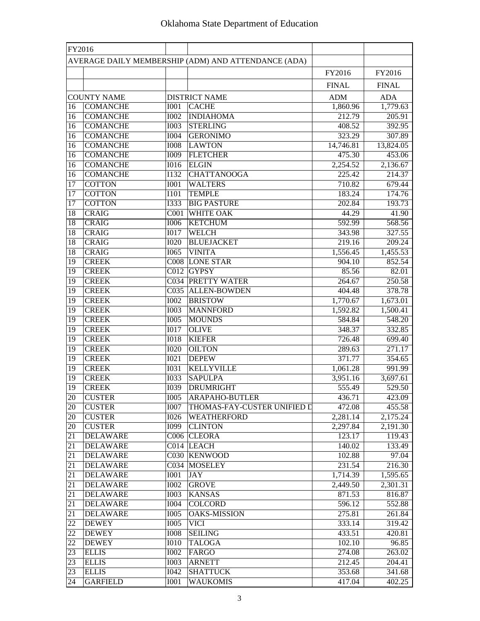| FY2016          |                                       |                   |                                                     |                        |                        |
|-----------------|---------------------------------------|-------------------|-----------------------------------------------------|------------------------|------------------------|
|                 |                                       |                   | AVERAGE DAILY MEMBERSHIP (ADM) AND ATTENDANCE (ADA) |                        |                        |
|                 |                                       |                   |                                                     | FY2016                 | FY2016                 |
|                 |                                       |                   |                                                     | <b>FINAL</b>           | <b>FINAL</b>           |
|                 |                                       |                   |                                                     |                        |                        |
| 16              | <b>COUNTY NAME</b><br><b>COMANCHE</b> | <b>I001</b>       | <b>DISTRICT NAME</b><br><b>CACHE</b>                | <b>ADM</b><br>1,860.96 | <b>ADA</b><br>1,779.63 |
| 16              | <b>COMANCHE</b>                       | <b>I002</b>       | <b>INDIAHOMA</b>                                    | 212.79                 | 205.91                 |
| 16              | <b>COMANCHE</b>                       | <b>I003</b>       | <b>STERLING</b>                                     | 408.52                 | 392.95                 |
| 16              | <b>COMANCHE</b>                       | <b>I004</b>       | <b>GERONIMO</b>                                     | 323.29                 | 307.89                 |
| 16              | <b>COMANCHE</b>                       | <b>IOO8</b>       | <b>LAWTON</b>                                       | 14,746.81              | 13,824.05              |
| 16              | <b>COMANCHE</b>                       | <b>I009</b>       | <b>FLETCHER</b>                                     | 475.30                 | 453.06                 |
| 16              | <b>COMANCHE</b>                       | <b>I016</b>       | <b>ELGIN</b>                                        | 2,254.52               | 2,136.67               |
| 16              | <b>COMANCHE</b>                       | I132              | <b>CHATTANOOGA</b>                                  | 225.42                 | 214.37                 |
| 17              | <b>COTTON</b>                         | <b>I001</b>       | <b>WALTERS</b>                                      | 710.82                 | 679.44                 |
| 17              | <b>COTTON</b>                         | I101              | <b>TEMPLE</b>                                       | 183.24                 | 174.76                 |
| 17              | <b>COTTON</b>                         | <b>I333</b>       | <b>BIG PASTURE</b>                                  | 202.84                 | 193.73                 |
| 18              | <b>CRAIG</b>                          | C <sub>001</sub>  | <b>WHITE OAK</b>                                    | 44.29                  | 41.90                  |
| 18              | <b>CRAIG</b>                          | <b>I006</b>       | <b>KETCHUM</b>                                      | 592.99                 | 568.56                 |
| 18              | <b>CRAIG</b>                          | $\overline{1017}$ | <b>WELCH</b>                                        | 343.98                 | 327.55                 |
| 18              | <b>CRAIG</b>                          | $\overline{1020}$ | <b>BLUEJACKET</b>                                   | 219.16                 | 209.24                 |
| 18              | <b>CRAIG</b>                          | 1065              | <b>VINITA</b>                                       | 1,556.45               | 1,455.53               |
| 19              | <b>CREEK</b>                          |                   | <b>C008 LONE STAR</b>                               | 904.10                 | 852.54                 |
| $\overline{19}$ | <b>CREEK</b>                          | C <sub>012</sub>  | <b>GYPSY</b>                                        | 85.56                  | 82.01                  |
| 19              | <b>CREEK</b>                          |                   | <b>C034 PRETTY WATER</b>                            | 264.67                 | 250.58                 |
| 19              | <b>CREEK</b>                          |                   | C035 ALLEN-BOWDEN                                   | 404.48                 | 378.78                 |
| 19              | <b>CREEK</b>                          | <b>I002</b>       | <b>BRISTOW</b>                                      | 1,770.67               | 1,673.01               |
| 19              | <b>CREEK</b>                          | <b>I003</b>       | <b>MANNFORD</b>                                     | 1,592.82               | 1,500.41               |
| 19              | <b>CREEK</b>                          | $\overline{1005}$ | <b>MOUNDS</b>                                       | 584.84                 | 548.20                 |
| 19              | <b>CREEK</b>                          | $\overline{1017}$ | <b>OLIVE</b>                                        | 348.37                 | 332.85                 |
| 19              | <b>CREEK</b>                          | <b>IO18</b>       | <b>KIEFER</b>                                       | 726.48                 | 699.40                 |
| 19              | <b>CREEK</b>                          | <b>I020</b>       | <b>OILTON</b>                                       | 289.63                 | 271.17                 |
| 19              | <b>CREEK</b>                          | I021              | <b>DEPEW</b>                                        | 371.77                 | 354.65                 |
| 19              | <b>CREEK</b>                          | I031              | <b>KELLYVILLE</b>                                   | 1,061.28               | 991.99                 |
| 19              | <b>CREEK</b>                          | <b>I033</b>       | <b>SAPULPA</b>                                      | 3,951.16               | 3,697.61               |
| 19              | <b>CREEK</b>                          | <b>I039</b>       | <b>DRUMRIGHT</b>                                    | 555.49                 | 529.50                 |
| 20              | <b>CUSTER</b>                         | <b>I005</b>       | <b>ARAPAHO-BUTLER</b>                               | 436.71                 | 423.09                 |
| 20              | <b>CUSTER</b>                         | <b>I007</b>       | THOMAS-FAY-CUSTER UNIFIED D                         | 472.08                 | 455.58                 |
| 20              | <b>CUSTER</b>                         | <b>I026</b>       | <b>WEATHERFORD</b>                                  | 2,281.14               | 2,175.24               |
| 20              | <b>CUSTER</b>                         | I099              | <b>CLINTON</b>                                      | 2,297.84               | 2,191.30               |
| 21              | <b>DELAWARE</b>                       |                   | C006 CLEORA                                         | 123.17                 | 119.43                 |
| 21              | <b>DELAWARE</b>                       |                   | C014 LEACH                                          | 140.02                 | 133.49                 |
| 21              | <b>DELAWARE</b>                       |                   | C030 KENWOOD                                        | 102.88                 | 97.04                  |
| 21              | <b>DELAWARE</b>                       |                   | C034 MOSELEY                                        | 231.54                 | 216.30                 |
| 21              | <b>DELAWARE</b>                       | <b>I001</b>       | <b>JAY</b>                                          | 1,714.39               | 1,595.65               |
| 21              | <b>DELAWARE</b>                       | <b>I002</b>       | <b>GROVE</b>                                        | 2,449.50               | 2,301.31               |
| 21              | <b>DELAWARE</b>                       | <b>I003</b>       | <b>KANSAS</b>                                       | 871.53                 | 816.87                 |
| 21              | <b>DELAWARE</b>                       | <b>I004</b>       | <b>COLCORD</b>                                      | 596.12                 | 552.88                 |
| 21              | <b>DELAWARE</b>                       | <b>I005</b>       | <b>OAKS-MISSION</b>                                 | 275.81                 | 261.84                 |
| 22              | <b>DEWEY</b>                          | I005              | <b>VICI</b>                                         | 333.14                 | 319.42                 |
| $\overline{22}$ | <b>DEWEY</b>                          | <b>IOO8</b>       | <b>SEILING</b>                                      | 433.51                 | 420.81                 |
| 22              | <b>DEWEY</b>                          | <b>I010</b>       | <b>TALOGA</b>                                       | 102.10                 | 96.85                  |
| 23              | <b>ELLIS</b>                          | <b>I002</b>       | FARGO                                               | 274.08                 | 263.02                 |
| 23              | <b>ELLIS</b>                          | <b>I003</b>       | <b>ARNETT</b>                                       | 212.45                 | 204.41                 |
| 23              | <b>ELLIS</b>                          | <b>I042</b>       | <b>SHATTUCK</b>                                     | 353.68                 | 341.68                 |
| 24              | <b>GARFIELD</b>                       | I001              | <b>WAUKOMIS</b>                                     | 417.04                 | 402.25                 |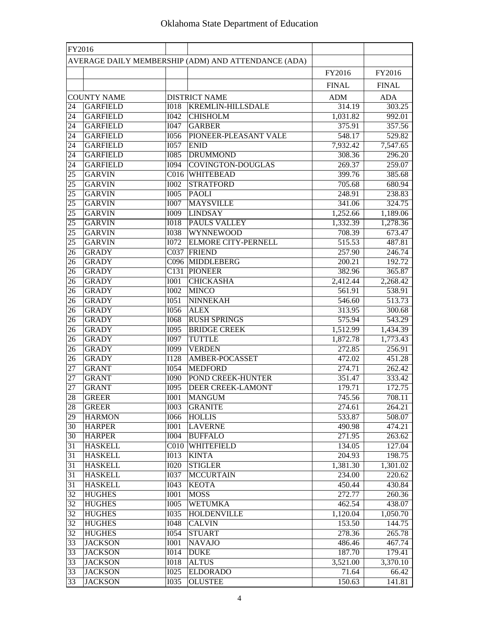| FY2016          |                                  |                     |                                                     |                   |                   |
|-----------------|----------------------------------|---------------------|-----------------------------------------------------|-------------------|-------------------|
|                 |                                  |                     | AVERAGE DAILY MEMBERSHIP (ADM) AND ATTENDANCE (ADA) |                   |                   |
|                 |                                  |                     |                                                     | FY2016            | FY2016            |
|                 |                                  |                     |                                                     | <b>FINAL</b>      | <b>FINAL</b>      |
|                 | <b>COUNTY NAME</b>               |                     | <b>DISTRICT NAME</b>                                | <b>ADM</b>        | <b>ADA</b>        |
| 24              | <b>GARFIELD</b>                  | <b>IO18</b>         | <b>KREMLIN-HILLSDALE</b>                            | 314.19            | 303.25            |
| 24              | <b>GARFIELD</b>                  | 1042                | <b>CHISHOLM</b>                                     | 1,031.82          | 992.01            |
| 24              | <b>GARFIELD</b>                  | <b>I047</b>         | <b>GARBER</b>                                       | 375.91            | 357.56            |
| 24              | <b>GARFIELD</b>                  | <b>I056</b>         | PIONEER-PLEASANT VALE                               | 548.17            | 529.82            |
| 24              | <b>GARFIELD</b>                  | <b>I057</b>         | <b>ENID</b>                                         | 7,932.42          | 7,547.65          |
| 24              | <b>GARFIELD</b>                  | <b>I085</b>         | <b>DRUMMOND</b>                                     | 308.36            | 296.20            |
| 24              | <b>GARFIELD</b>                  | <b>I094</b>         | COVINGTON-DOUGLAS                                   | 269.37            | 259.07            |
| 25              | <b>GARVIN</b>                    | C <sub>016</sub>    | <b>WHITEBEAD</b>                                    | 399.76            | 385.68            |
| 25              | <b>GARVIN</b>                    | <b>I002</b>         | <b>STRATFORD</b>                                    | 705.68            | 680.94            |
| 25              | <b>GARVIN</b>                    | <b>IOO5</b>         | <b>PAOLI</b>                                        | 248.91            | 238.83            |
| 25              | <b>GARVIN</b>                    | <b>I007</b>         | <b>MAYSVILLE</b>                                    | 341.06            | 324.75            |
| $\overline{25}$ | <b>GARVIN</b>                    | <b>I009</b>         | <b>LINDSAY</b>                                      | 1,252.66          | 1,189.06          |
| $\overline{25}$ | <b>GARVIN</b>                    | <b>IO18</b>         | <b>PAULS VALLEY</b>                                 | 1,332.39          | 1,278.36          |
| $\overline{25}$ | <b>GARVIN</b>                    | <b>I038</b>         | <b>WYNNEWOOD</b>                                    | 708.39            | 673.47            |
| $\overline{25}$ | <b>GARVIN</b>                    | <b>I072</b>         | <b>ELMORE CITY-PERNELL</b>                          | 515.53            | 487.81            |
| 26              | <b>GRADY</b>                     |                     | C037 FRIEND                                         | 257.90            | 246.74            |
| 26              | <b>GRADY</b>                     |                     | C096 MIDDLEBERG                                     | 200.21            | 192.72            |
| 26              | <b>GRADY</b>                     |                     | C131 PIONEER                                        | 382.96            | 365.87            |
| 26              | <b>GRADY</b>                     | <b>I001</b>         | <b>CHICKASHA</b>                                    | 2,412.44          | 2,268.42          |
| 26              | <b>GRADY</b>                     | <b>I002</b>         | <b>MINCO</b>                                        | 561.91            | 538.91            |
| 26              | <b>GRADY</b>                     | <b>I051</b>         | NINNEKAH                                            | 546.60            | 513.73            |
| 26              | <b>GRADY</b>                     | <b>I056</b>         | <b>ALEX</b>                                         | 313.95            | 300.68            |
| 26              | <b>GRADY</b>                     | <b>I068</b>         | <b>RUSH SPRINGS</b>                                 | 575.94            | 543.29            |
| 26              | <b>GRADY</b>                     | I095                | <b>BRIDGE CREEK</b>                                 | 1,512.99          | 1,434.39          |
| 26              | <b>GRADY</b>                     | <b>I097</b>         | <b>TUTTLE</b>                                       | 1,872.78          | 1,773.43          |
| 26              | <b>GRADY</b>                     | <b>I099</b>         | <b>VERDEN</b>                                       | 272.85            | 256.91            |
| 26              | <b>GRADY</b>                     | I128                | AMBER-POCASSET                                      | 472.02            | 451.28            |
| 27              | <b>GRANT</b>                     | <b>I054</b>         | <b>MEDFORD</b>                                      | 274.71            | 262.42            |
| 27              | <b>GRANT</b>                     | <b>I090</b>         | POND CREEK-HUNTER                                   | 351.47            | 333.42            |
| 27              | <b>GRANT</b>                     | <b>I095</b>         | <b>DEER CREEK-LAMONT</b>                            | 179.71            | 172.75            |
| 28              | <b>GREER</b>                     | I001                | <b>MANGUM</b>                                       | 745.56            | 708.11            |
| 28              | <b>GREER</b>                     | 1003                | <b>GRANITE</b>                                      | 274.61            | 264.21            |
| $\overline{29}$ | <b>HARMON</b>                    | <b>I066</b>         | <b>HOLLIS</b>                                       | 533.87            | 508.07            |
| 30              | <b>HARPER</b>                    | <b>I001</b>         | <b>LAVERNE</b>                                      | 490.98            | 474.21            |
| 30              | <b>HARPER</b>                    | 1004                | <b>BUFFALO</b>                                      | 271.95            | 263.62            |
| 31              | <b>HASKELL</b>                   |                     | C010 WHITEFIELD                                     | 134.05            | 127.04            |
| 31              | <b>HASKELL</b>                   | <b>IO13</b>         | <b>KINTA</b>                                        | 204.93            | 198.75            |
| 31              | <b>HASKELL</b>                   | <b>I020</b>         | <b>STIGLER</b>                                      | 1,381.30          | 1,301.02          |
| 31              | <b>HASKELL</b>                   | <b>I037</b>         | <b>MCCURTAIN</b>                                    | 234.00            | 220.62            |
| 31              | <b>HASKELL</b>                   | I043                | <b>KEOTA</b>                                        | 450.44            | 430.84            |
| $\overline{32}$ | <b>HUGHES</b>                    | I001                | <b>MOSS</b>                                         | 272.77            | 260.36            |
| 32              | <b>HUGHES</b>                    | <b>I005</b>         | <b>WETUMKA</b>                                      | 462.54            | 438.07            |
| 32              | <b>HUGHES</b>                    | <b>I035</b>         | <b>HOLDENVILLE</b>                                  | 1,120.04          | 1,050.70          |
| 32              | <b>HUGHES</b>                    | I048                | <b>CALVIN</b>                                       | 153.50            | 144.75            |
| $\overline{32}$ | <b>HUGHES</b>                    | <b>I054</b>         | <b>STUART</b>                                       | 278.36            | 265.78            |
| 33              | <b>JACKSON</b>                   | <b>I001</b>         | <b>NAVAJO</b>                                       | 486.46            | 467.74            |
| 33              | <b>JACKSON</b>                   | <b>IO14</b>         | <b>DUKE</b>                                         | 187.70            | 179.41            |
| 33<br>33        | <b>JACKSON</b><br><b>JACKSON</b> | <b>IO18</b><br>I025 | <b>ALTUS</b><br><b>ELDORADO</b>                     | 3,521.00<br>71.64 | 3,370.10<br>66.42 |
| 33              | <b>JACKSON</b>                   | <b>I035</b>         | <b>OLUSTEE</b>                                      | 150.63            | 141.81            |
|                 |                                  |                     |                                                     |                   |                   |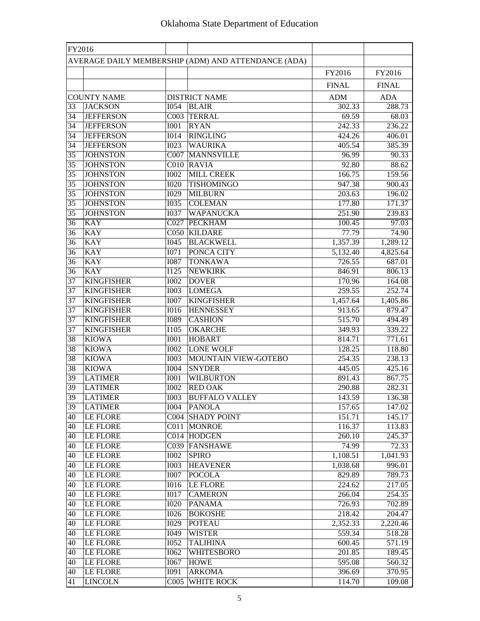| FY2016                                              |                    |                   |                         |              |              |
|-----------------------------------------------------|--------------------|-------------------|-------------------------|--------------|--------------|
| AVERAGE DAILY MEMBERSHIP (ADM) AND ATTENDANCE (ADA) |                    |                   |                         |              |              |
|                                                     |                    |                   |                         | FY2016       | FY2016       |
|                                                     |                    |                   |                         | <b>FINAL</b> | <b>FINAL</b> |
|                                                     | <b>COUNTY NAME</b> |                   | <b>DISTRICT NAME</b>    | <b>ADM</b>   | <b>ADA</b>   |
| 33                                                  | <b>JACKSON</b>     | <b>I054</b>       | <b>BLAIR</b>            | 302.33       | 288.73       |
| 34                                                  | <b>JEFFERSON</b>   |                   | C003 TERRAL             | 69.59        | 68.03        |
| 34                                                  | <b>JEFFERSON</b>   | <b>I001</b>       | <b>RYAN</b>             | 242.33       | 236.22       |
| 34                                                  | <b>JEFFERSON</b>   | <b>I014</b>       | <b>RINGLING</b>         | 424.26       | 406.01       |
| 34                                                  | <b>JEFFERSON</b>   | <b>I023</b>       | <b>WAURIKA</b>          | 405.54       | 385.39       |
| 35                                                  | <b>JOHNSTON</b>    |                   | <b>C007 MANNSVILLE</b>  | 96.99        | 90.33        |
| 35                                                  | <b>JOHNSTON</b>    |                   | C010 RAVIA              | 92.80        | 88.62        |
| 35                                                  | <b>JOHNSTON</b>    | <b>I002</b>       | <b>MILL CREEK</b>       | 166.75       | 159.56       |
| 35                                                  | <b>JOHNSTON</b>    | <b>I020</b>       | <b>TISHOMINGO</b>       | 947.38       | 900.43       |
| 35                                                  | <b>JOHNSTON</b>    | I029              | <b>MILBURN</b>          | 203.63       | 196.02       |
| 35                                                  | <b>JOHNSTON</b>    | <b>I035</b>       | <b>COLEMAN</b>          | 177.80       | 171.37       |
| 35                                                  | <b>JOHNSTON</b>    | <b>I037</b>       | <b>WAPANUCKA</b>        | 251.90       | 239.83       |
| 36                                                  | <b>KAY</b>         | CO27              | <b>PECKHAM</b>          | 100.45       | 97.03        |
| 36                                                  | <b>KAY</b>         |                   | C050 KILDARE            | 77.79        | 74.90        |
| 36                                                  | <b>KAY</b>         | <b>I045</b>       | <b>BLACKWELL</b>        | 1,357.39     | 1,289.12     |
| 36                                                  | <b>KAY</b>         | <b>I071</b>       | PONCA CITY              | 5,132.40     | 4,825.64     |
| 36                                                  | <b>KAY</b>         | <b>I087</b>       | <b>TONKAWA</b>          | 726.55       | 687.01       |
| 36                                                  | <b>KAY</b>         | $\overline{1125}$ | <b>NEWKIRK</b>          | 846.91       | 806.13       |
| 37                                                  | <b>KINGFISHER</b>  | <b>I002</b>       | <b>DOVER</b>            | 170.96       | 164.08       |
| $\overline{37}$                                     | <b>KINGFISHER</b>  | <b>I003</b>       | <b>LOMEGA</b>           | 259.55       | 252.74       |
| $\overline{37}$                                     | <b>KINGFISHER</b>  | <b>I007</b>       | <b>KINGFISHER</b>       | 1,457.64     | 1,405.86     |
| $\overline{37}$                                     | <b>KINGFISHER</b>  | <b>I016</b>       | <b>HENNESSEY</b>        | 913.65       | 879.47       |
| 37                                                  | <b>KINGFISHER</b>  | <b>I089</b>       | <b>CASHION</b>          | 515.70       | 494.49       |
| 37                                                  | <b>KINGFISHER</b>  | <b>I105</b>       | <b>OKARCHE</b>          | 349.93       | 339.22       |
| 38                                                  | <b>KIOWA</b>       | <b>I001</b>       | <b>HOBART</b>           | 814.71       | 771.61       |
| 38                                                  | <b>KIOWA</b>       | <b>I002</b>       | <b>LONE WOLF</b>        | 128.25       | 118.80       |
| 38                                                  | <b>KIOWA</b>       | <b>I003</b>       | MOUNTAIN VIEW-GOTEBO    | 254.35       | 238.13       |
| 38                                                  | <b>KIOWA</b>       | <b>I004</b>       | <b>SNYDER</b>           | 445.05       | 425.16       |
| 39                                                  | <b>LATIMER</b>     | <b>I001</b>       | <b>WILBURTON</b>        | 891.43       | 867.75       |
| 39                                                  | <b>LATIMER</b>     | <b>I002</b>       | <b>RED OAK</b>          | 290.88       | 282.31       |
| 39                                                  | <b>LATIMER</b>     |                   | 1003 BUFFALO VALLEY     | 143.59       | 136.38       |
| 39                                                  | <b>LATIMER</b>     | <b>I004</b>       | <b>PANOLA</b>           | 157.65       | 147.02       |
| 40                                                  | <b>LE FLORE</b>    |                   | <b>C004 SHADY POINT</b> | 151.71       | 145.17       |
| 40                                                  | <b>LE FLORE</b>    |                   | C011 MONROE             | 116.37       | 113.83       |
| 40                                                  | LE FLORE           |                   | C014 HODGEN             | 260.10       | 245.37       |
| 40                                                  | <b>LE FLORE</b>    |                   | C039 FANSHAWE           | 74.99        | 72.33        |
| 40                                                  | <b>LE FLORE</b>    | <b>I002</b>       | <b>SPIRO</b>            | 1,108.51     | 1,041.93     |
| 40                                                  | <b>LE FLORE</b>    | <b>I003</b>       | <b>HEAVENER</b>         | 1,038.68     | 996.01       |
| 40                                                  | <b>LE FLORE</b>    | <b>I007</b>       | <b>POCOLA</b>           | 829.89       | 789.73       |
| 40                                                  | <b>LE FLORE</b>    | <b>I016</b>       | <b>LE FLORE</b>         | 224.62       | 217.05       |
| 40                                                  | <b>LE FLORE</b>    | <b>I017</b>       | <b>CAMERON</b>          | 266.04       | 254.35       |
| 40                                                  | <b>LE FLORE</b>    | <b>I020</b>       | <b>PANAMA</b>           | 726.93       | 702.89       |
| 40                                                  | <b>LE FLORE</b>    | <b>I026</b>       | <b>BOKOSHE</b>          | 218.42       | 204.47       |
| 40                                                  | LE FLORE           | <b>I029</b>       | <b>POTEAU</b>           | 2,352.33     | 2,220.46     |
| 40                                                  | <b>LE FLORE</b>    | I049              | <b>WISTER</b>           | 559.34       | 518.28       |
| 40                                                  | LE FLORE           | <b>I052</b>       | <b>TALIHINA</b>         | 600.45       | 571.19       |
| 40                                                  | LE FLORE           | <b>I062</b>       | WHITESBORO              | 201.85       | 189.45       |
| 40                                                  | <b>LE FLORE</b>    | <b>I067</b>       | <b>HOWE</b>             | 595.08       | 560.32       |
| 40                                                  | <b>LE FLORE</b>    | I091              | <b>ARKOMA</b>           | 396.69       | 370.95       |
| 41                                                  | <b>LINCOLN</b>     |                   | <b>C005 WHITE ROCK</b>  | 114.70       | 109.08       |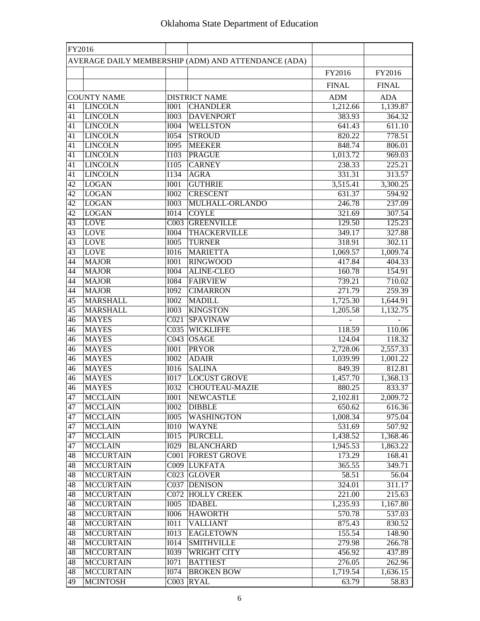| FY2016 |                    |                   |                                                     |              |                     |
|--------|--------------------|-------------------|-----------------------------------------------------|--------------|---------------------|
|        |                    |                   | AVERAGE DAILY MEMBERSHIP (ADM) AND ATTENDANCE (ADA) |              |                     |
|        |                    |                   |                                                     | FY2016       | FY2016              |
|        |                    |                   |                                                     | <b>FINAL</b> | <b>FINAL</b>        |
|        | <b>COUNTY NAME</b> |                   | <b>DISTRICT NAME</b>                                | <b>ADM</b>   | <b>ADA</b>          |
| 41     | <b>LINCOLN</b>     | <b>I001</b>       | <b>CHANDLER</b>                                     | 1,212.66     | 1,139.87            |
| 41     | <b>LINCOLN</b>     | <b>I003</b>       | <b>DAVENPORT</b>                                    | 383.93       | 364.32              |
| 41     | <b>LINCOLN</b>     | <b>I004</b>       | <b>WELLSTON</b>                                     | 641.43       | 611.10              |
| 41     | <b>LINCOLN</b>     | <b>I054</b>       | <b>STROUD</b>                                       | 820.22       | 778.51              |
| 41     | <b>LINCOLN</b>     | <b>I095</b>       | <b>MEEKER</b>                                       | 848.74       | 806.01              |
| 41     | <b>LINCOLN</b>     | I103              | <b>PRAGUE</b>                                       | 1,013.72     | 969.03              |
| 41     | <b>LINCOLN</b>     | <b>I105</b>       | <b>CARNEY</b>                                       | 238.33       | 225.21              |
| 41     | <b>LINCOLN</b>     | I134              | <b>AGRA</b>                                         | 331.31       | 313.57              |
| 42     | <b>LOGAN</b>       | I001              | <b>GUTHRIE</b>                                      | 3,515.41     | 3,300.25            |
| 42     | <b>LOGAN</b>       | <b>I002</b>       | <b>CRESCENT</b>                                     | 631.37       | 594.92              |
| 42     | <b>LOGAN</b>       | <b>I003</b>       | MULHALL-ORLANDO                                     | 246.78       | 237.09              |
| 42     | <b>LOGAN</b>       | <b>IO14</b>       | <b>COYLE</b>                                        | 321.69       | 307.54              |
| 43     | <b>LOVE</b>        | C003              | <b>GREENVILLE</b>                                   | 129.50       | 125.23              |
| 43     | <b>LOVE</b>        | <b>I004</b>       | <b>THACKERVILLE</b>                                 | 349.17       | 327.88              |
| 43     | <b>LOVE</b>        | <b>I005</b>       | <b>TURNER</b>                                       | 318.91       | 302.11              |
| 43     | <b>LOVE</b>        | <b>I016</b>       | <b>MARIETTA</b>                                     | 1,069.57     | 1,009.74            |
| 44     | <b>MAJOR</b>       | $\overline{IO01}$ | <b>RINGWOOD</b>                                     | 417.84       | 404.33              |
| 44     | <b>MAJOR</b>       | <b>I004</b>       | <b>ALINE-CLEO</b>                                   | 160.78       | 154.91              |
| 44     | <b>MAJOR</b>       | <b>I084</b>       | <b>FAIRVIEW</b>                                     | 739.21       | 710.02              |
| 44     | <b>MAJOR</b>       | <b>I092</b>       | <b>CIMARRON</b>                                     | 271.79       | 259.39              |
| 45     | <b>MARSHALL</b>    | <b>I002</b>       | <b>MADILL</b>                                       | 1,725.30     | 1,644.91            |
| 45     | <b>MARSHALL</b>    | <b>I003</b>       | <b>KINGSTON</b>                                     | 1,205.58     | 1,132.75            |
| 46     | <b>MAYES</b>       |                   | C021 SPAVINAW                                       |              |                     |
| 46     | <b>MAYES</b>       |                   | <b>C035 WICKLIFFE</b>                               | 118.59       | 110.06              |
| 46     | <b>MAYES</b>       | C <sub>043</sub>  | <b>OSAGE</b>                                        | 124.04       | 118.32              |
| 46     | <b>MAYES</b>       | <b>I001</b>       | <b>PRYOR</b>                                        | 2,728.06     | 2,557.33            |
| 46     | <b>MAYES</b>       | <b>I002</b>       | <b>ADAIR</b>                                        | 1,039.99     | 1,001.22            |
| 46     | <b>MAYES</b>       | <b>I016</b>       | <b>SALINA</b>                                       | 849.39       | 812.81              |
| 46     | <b>MAYES</b>       | <b>I017</b>       | <b>LOCUST GROVE</b>                                 | 1,457.70     | 1,368.13            |
| 46     | <b>MAYES</b>       | <b>I032</b>       | <b>CHOUTEAU-MAZIE</b>                               | 880.25       | 833.37              |
| 47     | <b>MCCLAIN</b>     | <b>I001</b>       | NEWCASTLE                                           | 2,102.81     | 2,009.72            |
| 47     | <b>MCCLAIN</b>     | 1002              | <b>DIBBLE</b>                                       | 650.62       | 616.36              |
| 47     | <b>MCCLAIN</b>     | 1005              | <b>WASHINGTON</b>                                   | 1,008.34     | 975.04              |
| 47     | <b>MCCLAIN</b>     | <b>I010</b>       | <b>WAYNE</b>                                        | 531.69       | 507.92              |
| 47     | <b>MCCLAIN</b>     | I015              | <b>PURCELL</b>                                      | 1,438.52     | 1,368.46            |
| 47     | <b>MCCLAIN</b>     | 1029              | <b>BLANCHARD</b>                                    | 1,945.53     | 1,863.22            |
| 48     | <b>MCCURTAIN</b>   |                   | <b>C001 FOREST GROVE</b>                            | 173.29       | 168.41              |
| 48     | <b>MCCURTAIN</b>   |                   | C009 LUKFATA                                        | 365.55       | 349.71              |
| 48     | <b>MCCURTAIN</b>   |                   | C023 GLOVER                                         | 58.51        | 56.04               |
| 48     | <b>MCCURTAIN</b>   |                   | C037 DENISON                                        | 324.01       | 311.17              |
| 48     | <b>MCCURTAIN</b>   |                   | <b>C072 HOLLY CREEK</b>                             | 221.00       | $\overline{215.63}$ |
| 48     | <b>MCCURTAIN</b>   | <b>I005</b>       | <b>IDABEL</b>                                       | 1,235.93     | 1,167.80            |
| 48     | <b>MCCURTAIN</b>   | <b>I006</b>       | <b>HAWORTH</b>                                      | 570.78       | 537.03              |
| 48     | <b>MCCURTAIN</b>   | <b>IO11</b>       | <b>VALLIANT</b>                                     | 875.43       | 830.52              |
| 48     | <b>MCCURTAIN</b>   | <b>IO13</b>       | <b>EAGLETOWN</b>                                    | 155.54       | 148.90              |
| 48     | <b>MCCURTAIN</b>   | I <sub>014</sub>  | <b>SMITHVILLE</b>                                   | 279.98       | 266.78              |
| 48     | <b>MCCURTAIN</b>   | <b>I039</b>       | <b>WRIGHT CITY</b>                                  | 456.92       | 437.89              |
| 48     | <b>MCCURTAIN</b>   | <b>I071</b>       | <b>BATTIEST</b>                                     | 276.05       | 262.96              |
| 48     | <b>MCCURTAIN</b>   | <b>I074</b>       | <b>BROKEN BOW</b>                                   | 1,719.54     | 1,636.15            |
| 49     | <b>MCINTOSH</b>    |                   | C003 RYAL                                           | 63.79        | 58.83               |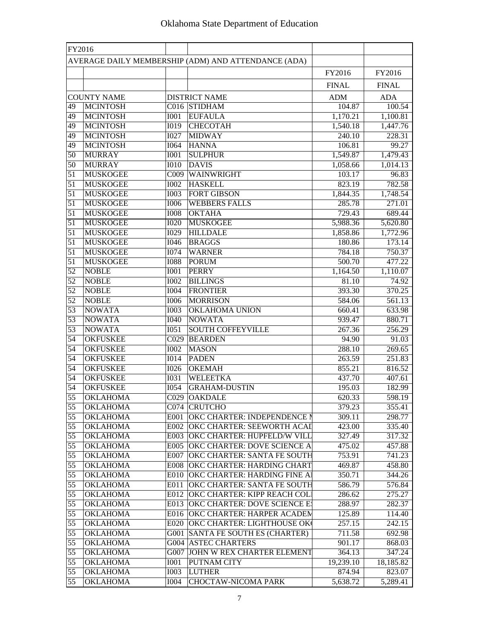| FY2016          |                                    |                   |                                                                       |                  |                  |
|-----------------|------------------------------------|-------------------|-----------------------------------------------------------------------|------------------|------------------|
|                 |                                    |                   | AVERAGE DAILY MEMBERSHIP (ADM) AND ATTENDANCE (ADA)                   |                  |                  |
|                 |                                    |                   |                                                                       | FY2016           | FY2016           |
|                 |                                    |                   |                                                                       | <b>FINAL</b>     | <b>FINAL</b>     |
|                 | <b>COUNTY NAME</b>                 |                   | <b>DISTRICT NAME</b>                                                  | <b>ADM</b>       | <b>ADA</b>       |
| 49              | <b>MCINTOSH</b>                    |                   | C016 STIDHAM                                                          | 104.87           | 100.54           |
| 49              | <b>MCINTOSH</b>                    | <b>I001</b>       | <b>EUFAULA</b>                                                        | 1,170.21         | 1,100.81         |
| 49              | <b>MCINTOSH</b>                    | <b>I019</b>       | <b>CHECOTAH</b>                                                       | 1,540.18         | 1,447.76         |
| 49              | <b>MCINTOSH</b>                    | <b>I027</b>       | <b>MIDWAY</b>                                                         | 240.10           | 228.31           |
| 49              | <b>MCINTOSH</b>                    | <b>I064</b>       | <b>HANNA</b>                                                          | 106.81           | 99.27            |
| 50              | <b>MURRAY</b>                      | <b>IOO1</b>       | <b>SULPHUR</b>                                                        | 1,549.87         | 1,479.43         |
| 50              | <b>MURRAY</b>                      | <b>I010</b>       | <b>DAVIS</b>                                                          | 1,058.66         | 1,014.13         |
| 51              | <b>MUSKOGEE</b>                    | C009              | WAINWRIGHT                                                            | 103.17           | 96.83            |
| 51              | <b>MUSKOGEE</b>                    | <b>I002</b>       | <b>HASKELL</b>                                                        | 823.19           | 782.58           |
| 51              | <b>MUSKOGEE</b>                    | <b>I003</b>       | <b>FORT GIBSON</b>                                                    | 1,844.35         | 1,748.54         |
| 51              | <b>MUSKOGEE</b>                    | <b>I006</b>       | <b>WEBBERS FALLS</b>                                                  | 285.78           | 271.01           |
| 51              | <b>MUSKOGEE</b>                    | <b>IOO8</b>       | <b>OKTAHA</b>                                                         | 729.43           | 689.44           |
| 51              | <b>MUSKOGEE</b>                    | <b>I020</b>       | <b>MUSKOGEE</b>                                                       | 5,988.36         | 5,620.80         |
| 51              | <b>MUSKOGEE</b>                    | I029              | <b>HILLDALE</b>                                                       | 1,858.86         | 1,772.96         |
| 51              | <b>MUSKOGEE</b>                    | <b>I046</b>       | <b>BRAGGS</b>                                                         | 180.86           | 173.14           |
| 51              | <b>MUSKOGEE</b>                    | <b>I074</b>       | <b>WARNER</b>                                                         | 784.18           | 750.37           |
| 51              | <b>MUSKOGEE</b>                    | <b>I088</b>       | <b>PORUM</b>                                                          | 500.70           | 477.22           |
| 52              | <b>NOBLE</b>                       | <b>I001</b>       | <b>PERRY</b>                                                          | 1,164.50         | 1,110.07         |
| $\overline{52}$ | <b>NOBLE</b>                       | 1002              | <b>BILLINGS</b>                                                       | 81.10            | 74.92            |
| $\overline{52}$ | <b>NOBLE</b>                       | <b>I004</b>       | <b>FRONTIER</b>                                                       | 393.30           | 370.25           |
| $\overline{52}$ | <b>NOBLE</b>                       | <b>I006</b>       | <b>MORRISON</b>                                                       | 584.06           | 561.13           |
| 53              | <b>NOWATA</b>                      | <b>I003</b>       | OKLAHOMA UNION                                                        | 660.41           | 633.98           |
| $\overline{53}$ | <b>NOWATA</b>                      | <b>I040</b>       | <b>NOWATA</b>                                                         | 939.47           | 880.71           |
| 53              | <b>NOWATA</b>                      | I051              | <b>SOUTH COFFEYVILLE</b>                                              | 267.36           | 256.29           |
| 54              | <b>OKFUSKEE</b>                    | $\overline{CO29}$ | <b>BEARDEN</b>                                                        | 94.90            | 91.03            |
| 54              | <b>OKFUSKEE</b>                    | <b>I002</b>       | <b>MASON</b>                                                          | 288.10           | 269.65           |
| 54              | <b>OKFUSKEE</b>                    | <b>I014</b>       | <b>PADEN</b>                                                          | 263.59           | 251.83           |
| 54              | <b>OKFUSKEE</b>                    | I026              | <b>OKEMAH</b>                                                         | 855.21           | 816.52           |
| 54              | <b>OKFUSKEE</b>                    | <b>I031</b>       | <b>WELEETKA</b>                                                       | 437.70           | 407.61           |
| 54              | <b>OKFUSKEE</b>                    | <b>I054</b>       | <b>GRAHAM-DUSTIN</b>                                                  | 195.03           | 182.99           |
| 55              | <b>OKLAHOMA</b>                    |                   | C029 OAKDALE                                                          | 620.33           | 598.19           |
| 55              | <b>OKLAHOMA</b>                    |                   | C074 CRUTCHO                                                          | 379.23           | 355.41           |
| 55              | <b>OKLAHOMA</b>                    |                   | E001 OKC CHARTER: INDEPENDENCE N                                      | 309.11           | 298.77           |
| 55              | <b>OKLAHOMA</b>                    |                   | <b>E002 OKC CHARTER: SEEWORTH ACAL</b>                                | 423.00           | 335.40           |
| 55              | <b>OKLAHOMA</b>                    |                   | E003 OKC CHARTER: HUPFELD/W VILL                                      | 327.49           | 317.32           |
| $\overline{55}$ | <b>OKLAHOMA</b>                    |                   | <b>E005 OKC CHARTER: DOVE SCIENCE A</b>                               | 475.02           | 457.88           |
| $\overline{55}$ | <b>OKLAHOMA</b>                    |                   | E007 OKC CHARTER: SANTA FE SOUTH                                      | 753.91           | 741.23           |
| $\overline{55}$ | <b>OKLAHOMA</b>                    |                   | E008 OKC CHARTER: HARDING CHART                                       | 469.87           | 458.80           |
| 55              | <b>OKLAHOMA</b>                    |                   | E010 OKC CHARTER: HARDING FINE AI<br>E011 OKC CHARTER: SANTA FE SOUTH | 350.71           | 344.26           |
| 55              | <b>OKLAHOMA</b>                    |                   |                                                                       | 586.79           | 576.84           |
| 55              | <b>OKLAHOMA</b>                    |                   | E012 OKC CHARTER: KIPP REACH COLI                                     | 286.62           | 275.27           |
| 55<br>55        | <b>OKLAHOMA</b><br><b>OKLAHOMA</b> |                   | E013 OKC CHARTER: DOVE SCIENCE E<br>E016 OKC CHARTER: HARPER ACADEM   | 288.97<br>125.89 | 282.37           |
| 55              | <b>OKLAHOMA</b>                    |                   | E020 OKC CHARTER: LIGHTHOUSE OK                                       | 257.15           | 114.40<br>242.15 |
| 55              | <b>OKLAHOMA</b>                    |                   | G001 SANTA FE SOUTH ES (CHARTER)                                      | 711.58           | 692.98           |
| $\overline{55}$ | <b>OKLAHOMA</b>                    |                   | <b>G004 ASTEC CHARTERS</b>                                            | 901.17           | 868.03           |
| 55              | <b>OKLAHOMA</b>                    |                   | G007 JOHN W REX CHARTER ELEMENT                                       | 364.13           | 347.24           |
| 55              | <b>OKLAHOMA</b>                    | <b>IOO1</b>       | PUTNAM CITY                                                           | 19,239.10        | 18,185.82        |
| 55              | <b>OKLAHOMA</b>                    | <b>I003</b>       | <b>LUTHER</b>                                                         | 874.94           | 823.07           |
| 55              | <b>OKLAHOMA</b>                    | <b>I004</b>       | <b>CHOCTAW-NICOMA PARK</b>                                            | 5,638.72         | 5,289.41         |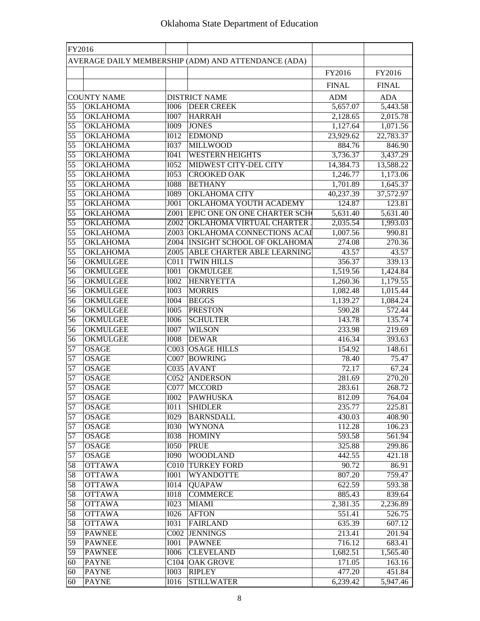| FY2016                             |                                    |                            |                                                     |                       |                       |
|------------------------------------|------------------------------------|----------------------------|-----------------------------------------------------|-----------------------|-----------------------|
|                                    |                                    |                            | AVERAGE DAILY MEMBERSHIP (ADM) AND ATTENDANCE (ADA) |                       |                       |
|                                    |                                    |                            |                                                     | FY2016                | FY2016                |
|                                    |                                    |                            |                                                     |                       |                       |
|                                    |                                    |                            |                                                     | <b>FINAL</b>          | <b>FINAL</b>          |
|                                    | <b>COUNTY NAME</b>                 |                            | <b>DISTRICT NAME</b>                                | <b>ADM</b>            | <b>ADA</b>            |
| 55                                 | <b>OKLAHOMA</b>                    | <b>I006</b>                | <b>DEER CREEK</b>                                   | 5,657.07              | 5,443.58              |
| 55                                 | <b>OKLAHOMA</b>                    | <b>I007</b>                | <b>HARRAH</b>                                       | 2,128.65              | 2,015.78              |
| $\overline{55}$                    | <b>OKLAHOMA</b>                    | $\overline{1009}$          | <b>JONES</b>                                        | 1,127.64              | 1,071.56              |
| $\overline{55}$<br>$\overline{55}$ | <b>OKLAHOMA</b>                    | <b>I012</b><br><b>I037</b> | <b>EDMOND</b><br><b>MILLWOOD</b>                    | 23,929.62             | 22,783.37             |
| $\overline{55}$                    | <b>OKLAHOMA</b><br><b>OKLAHOMA</b> | <b>I041</b>                | <b>WESTERN HEIGHTS</b>                              | 884.76<br>3,736.37    | 846.90                |
| $\overline{55}$                    | <b>OKLAHOMA</b>                    | I052                       | MIDWEST CITY-DEL CITY                               | 14,384.73             | 3,437.29              |
| $\overline{55}$                    | <b>OKLAHOMA</b>                    | <b>I053</b>                | <b>CROOKED OAK</b>                                  | 1,246.77              | 13,588.22<br>1,173.06 |
| $\overline{55}$                    | <b>OKLAHOMA</b>                    | <b>I088</b>                | <b>BETHANY</b>                                      | 1,701.89              | 1,645.37              |
| $\overline{55}$                    | <b>OKLAHOMA</b>                    | <b>I089</b>                | <b>OKLAHOMA CITY</b>                                | 40,237.39             | 37,572.97             |
| $\overline{55}$                    | <b>OKLAHOMA</b>                    | J001                       | OKLAHOMA YOUTH ACADEMY                              | 124.87                | 123.81                |
| $\overline{55}$                    | <b>OKLAHOMA</b>                    | Z001                       | EPIC ONE ON ONE CHARTER SCH                         | 5,631.40              | 5,631.40              |
| $\overline{55}$                    | <b>OKLAHOMA</b>                    | Z002                       | <b>OKLAHOMA VIRTUAL CHARTER</b>                     | 2,035.54              | 1,993.03              |
| $\overline{55}$                    | <b>OKLAHOMA</b>                    | Z003                       | OKLAHOMA CONNECTIONS ACAI                           | 1,007.56              | 990.81                |
| $\overline{55}$                    | <b>OKLAHOMA</b>                    | Z004                       | <b>INSIGHT SCHOOL OF OKLAHOMA</b>                   | 274.08                | 270.36                |
| $\overline{55}$                    | <b>OKLAHOMA</b>                    | Z005                       | ABLE CHARTER ABLE LEARNING                          | 43.57                 | 43.57                 |
| 56                                 | <b>OKMULGEE</b>                    | CO11                       | <b>TWIN HILLS</b>                                   | 356.37                | 339.13                |
| 56                                 | <b>OKMULGEE</b>                    | $\overline{IO01}$          | <b>OKMULGEE</b>                                     | 1,519.56              | 1,424.84              |
| 56                                 | <b>OKMULGEE</b>                    | <b>I002</b>                | <b>HENRYETTA</b>                                    | 1,260.36              | 1,179.55              |
| $\overline{56}$                    | <b>OKMULGEE</b>                    | 1003                       | <b>MORRIS</b>                                       | 1,082.48              | 1,015.44              |
| 56                                 | <b>OKMULGEE</b>                    | <b>I004</b>                | <b>BEGGS</b>                                        | $1,\overline{139.27}$ | 1,084.24              |
| 56                                 | <b>OKMULGEE</b>                    | <b>I005</b>                | <b>PRESTON</b>                                      | 590.28                | 572.44                |
| 56                                 | <b>OKMULGEE</b>                    | <b>I006</b>                | <b>SCHULTER</b>                                     | 143.78                | 135.74                |
| 56                                 | OKMULGEE                           | <b>I007</b>                | <b>WILSON</b>                                       | 233.98                | 219.69                |
| 56                                 | OKMULGEE                           | <b>IOO8</b>                | <b>DEWAR</b>                                        | 416.34                | 393.63                |
| 57                                 | <b>OSAGE</b>                       | $\overline{CO03}$          | <b>OSAGE HILLS</b>                                  | 154.92                | 148.61                |
| 57                                 | <b>OSAGE</b>                       | CO07                       | <b>BOWRING</b>                                      | 78.40                 | 75.47                 |
| 57                                 | <b>OSAGE</b>                       | CO35                       | <b>AVANT</b>                                        | 72.17                 | 67.24                 |
| 57                                 | <b>OSAGE</b>                       | CO52                       | <b>ANDERSON</b>                                     | 281.69                | 270.20                |
| 57                                 | <b>OSAGE</b>                       | CO77                       | <b>MCCORD</b>                                       | 283.61                | 268.72                |
| 57                                 | <b>OSAGE</b>                       | <b>I002</b>                | <b>PAWHUSKA</b>                                     | 812.09                | 764.04                |
| 57                                 | <b>OSAGE</b>                       | <b>IO11</b>                | <b>SHIDLER</b>                                      | 235.77                | 225.81                |
| 57                                 | <b>OSAGE</b>                       | $\overline{1029}$          | <b>BARNSDALL</b>                                    | 430.03                | 408.90                |
| 57                                 | <b>OSAGE</b>                       | <b>I030</b>                | <b>WYNONA</b>                                       | 112.28                | 106.23                |
| 57                                 | <b>OSAGE</b>                       | <b>I038</b>                | <b>HOMINY</b>                                       | 593.58                | 561.94                |
| 57                                 | <b>OSAGE</b>                       | <b>I050</b>                | <b>PRUE</b>                                         | 325.88                | 299.86                |
| $\overline{57}$                    | <b>OSAGE</b>                       | <b>I090</b>                | <b>WOODLAND</b>                                     | 442.55                | 421.18                |
| 58                                 | <b>OTTAWA</b>                      |                            | <b>C010 TURKEY FORD</b>                             | 90.72                 | 86.91                 |
| 58                                 | <b>OTTAWA</b>                      | <b>IOO1</b>                | <b>WYANDOTTE</b>                                    | 807.20                | 759.47                |
| 58                                 | <b>OTTAWA</b>                      | <b>IO14</b>                | <b>QUAPAW</b>                                       | 622.59                | 593.38                |
| 58                                 | <b>OTTAWA</b>                      | <b>IO18</b>                | <b>COMMERCE</b>                                     | 885.43                | 839.64                |
| 58                                 | <b>OTTAWA</b>                      | <b>I023</b>                | <b>MIAMI</b>                                        | 2,381.35              | 2,236.89              |
| 58                                 | <b>OTTAWA</b>                      | <b>I026</b>                | <b>AFTON</b>                                        | 551.41                | 526.75                |
| 58                                 | <b>OTTAWA</b>                      | <b>I031</b>                | <b>FAIRLAND</b>                                     | 635.39                | 607.12                |
| 59                                 | <b>PAWNEE</b>                      | CO02                       | <b>JENNINGS</b>                                     | 213.41                | 201.94                |
| 59                                 | <b>PAWNEE</b>                      | <b>I001</b>                | <b>PAWNEE</b>                                       | 716.12                | 683.41                |
| 59                                 | <b>PAWNEE</b>                      | <b>I006</b>                | <b>CLEVELAND</b>                                    | 1,682.51              | 1,565.40              |
| 60                                 | <b>PAYNE</b>                       |                            | C <sub>104</sub>   OAK GROVE                        | 171.05                | 163.16                |
| 60                                 | <b>PAYNE</b>                       | <b>I003</b>                | <b>RIPLEY</b>                                       | 477.20                | 451.84                |
| 60                                 | <b>PAYNE</b>                       | <b>I016</b>                | <b>STILLWATER</b>                                   | 6,239.42              | 5,947.46              |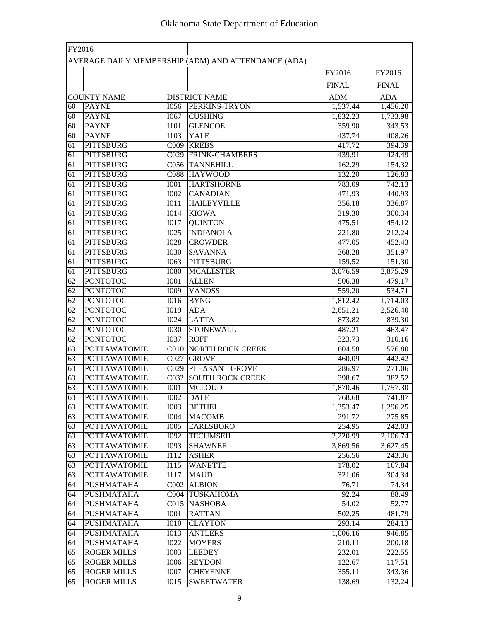| FY2016          |                                  |                   |                                                     |                  |                  |
|-----------------|----------------------------------|-------------------|-----------------------------------------------------|------------------|------------------|
|                 |                                  |                   | AVERAGE DAILY MEMBERSHIP (ADM) AND ATTENDANCE (ADA) |                  |                  |
|                 |                                  |                   |                                                     | FY2016           | FY2016           |
|                 |                                  |                   |                                                     |                  | <b>FINAL</b>     |
|                 |                                  |                   |                                                     | <b>FINAL</b>     |                  |
|                 | <b>COUNTY NAME</b>               |                   | <b>DISTRICT NAME</b>                                | <b>ADM</b>       | <b>ADA</b>       |
| 60              | <b>PAYNE</b>                     | <b>I056</b>       | PERKINS-TRYON                                       | 1,537.44         | 1,456.20         |
| 60              | <b>PAYNE</b>                     | <b>I067</b>       | <b>CUSHING</b>                                      | 1,832.23         | 1,733.98         |
| 60              | <b>PAYNE</b>                     | <b>I101</b>       | <b>GLENCOE</b>                                      | 359.90           | 343.53           |
| 60              | <b>PAYNE</b><br><b>PITTSBURG</b> | I103              | YALE                                                | 437.74           | 408.26           |
| 61              | <b>PITTSBURG</b>                 |                   | C009 KREBS                                          | 417.72           | 394.39           |
| 61              | <b>PITTSBURG</b>                 |                   | C029 FRINK-CHAMBERS<br>C056 TANNEHILL               | 439.91<br>162.29 | 424.49           |
| 61<br>61        | <b>PITTSBURG</b>                 |                   | C088 HAYWOOD                                        | 132.20           | 154.32<br>126.83 |
| 61              | <b>PITTSBURG</b>                 | <b>I001</b>       | <b>HARTSHORNE</b>                                   | 783.09           | 742.13           |
| 61              | <b>PITTSBURG</b>                 | <b>I002</b>       | <b>CANADIAN</b>                                     | 471.93           | 440.93           |
| 61              | <b>PITTSBURG</b>                 | I011              | <b>HAILEYVILLE</b>                                  | 356.18           | 336.87           |
| 61              | <b>PITTSBURG</b>                 | <b>I014</b>       | <b>KIOWA</b>                                        | 319.30           | 300.34           |
| 61              | <b>PITTSBURG</b>                 | <b>I017</b>       | <b>QUINTON</b>                                      | 475.51           | 454.12           |
| 61              | <b>PITTSBURG</b>                 | <b>I025</b>       | <b>INDIANOLA</b>                                    | 221.80           | 212.24           |
| 61              | <b>PITTSBURG</b>                 | <b>I028</b>       | <b>CROWDER</b>                                      | 477.05           | 452.43           |
| 61              | <b>PITTSBURG</b>                 | <b>I030</b>       | <b>SAVANNA</b>                                      | 368.28           | 351.97           |
| 61              | <b>PITTSBURG</b>                 | <b>I063</b>       | <b>PITTSBURG</b>                                    | 159.52           | 151.30           |
| 61              | <b>PITTSBURG</b>                 | <b>I080</b>       | <b>MCALESTER</b>                                    | 3,076.59         | 2,875.29         |
| 62              | <b>PONTOTOC</b>                  | <b>I001</b>       | <b>ALLEN</b>                                        | 506.38           | 479.17           |
| $\overline{62}$ | <b>PONTOTOC</b>                  | <b>I009</b>       | <b>VANOSS</b>                                       | 559.20           | 534.71           |
| 62              | <b>PONTOTOC</b>                  | <b>I016</b>       | <b>BYNG</b>                                         | 1,812.42         | 1,714.03         |
| 62              | <b>PONTOTOC</b>                  | <b>I019</b>       | <b>ADA</b>                                          | 2,651.21         | 2,526.40         |
| 62              | <b>PONTOTOC</b>                  | $\overline{1024}$ | <b>LATTA</b>                                        | 873.82           | 839.30           |
| 62              | <b>PONTOTOC</b>                  | <b>I030</b>       | <b>STONEWALL</b>                                    | 487.21           | 463.47           |
| 62              | <b>PONTOTOC</b>                  | <b>I037</b>       | <b>ROFF</b>                                         | 323.73           | 310.16           |
| 63              | <b>POTTAWATOMIE</b>              | CO10              | NORTH ROCK CREEK                                    | 604.58           | 576.80           |
| 63              | <b>POTTAWATOMIE</b>              | C027              | <b>GROVE</b>                                        | 460.09           | 442.42           |
| 63              | <b>POTTAWATOMIE</b>              |                   | <b>C029 PLEASANT GROVE</b>                          | 286.97           | 271.06           |
| 63              | <b>POTTAWATOMIE</b>              |                   | <b>C032 SOUTH ROCK CREEK</b>                        | 398.67           | 382.52           |
| 63              | <b>POTTAWATOMIE</b>              | <b>I001</b>       | <b>MCLOUD</b>                                       | 1,870.46         | 1,757.30         |
| 63              | <b>POTTAWATOMIE</b>              | <b>I002</b>       | <b>DALE</b>                                         | 768.68           | 741.87           |
| 63              | <b>POTTAWATOMIE</b>              | 1003              | <b>BETHEL</b>                                       | 1,353.47         | 1,296.25         |
| 63              | <b>POTTAWATOMIE</b>              | $\overline{1004}$ | <b>MACOMB</b>                                       | 291.72           | 275.85           |
| 63              | <b>POTTAWATOMIE</b>              | <b>I005</b>       | <b>EARLSBORO</b>                                    | 254.95           | 242.03           |
| 63              | <b>POTTAWATOMIE</b>              | <b>I092</b>       | <b>TECUMSEH</b>                                     | 2,220.99         | 2,106.74         |
| 63              | <b>POTTAWATOMIE</b>              | <b>I093</b>       | <b>SHAWNEE</b>                                      | 3,869.56         | 3,627.45         |
| 63              | <b>POTTAWATOMIE</b>              | I112              | <b>ASHER</b>                                        | 256.56           | 243.36           |
| 63              | <b>POTTAWATOMIE</b>              | I115              | <b>WANETTE</b>                                      | 178.02           | 167.84           |
| 63              | <b>POTTAWATOMIE</b>              | I117              | <b>MAUD</b>                                         | 321.06           | 304.34           |
| 64              | <b>PUSHMATAHA</b>                | $\overline{C002}$ | <b>ALBION</b>                                       | 76.71            | 74.34            |
| 64              | <b>PUSHMATAHA</b>                | CO <sub>04</sub>  | <b>TUSKAHOMA</b>                                    | 92.24            | 88.49            |
| 64              | <b>PUSHMATAHA</b>                |                   | C015 NASHOBA                                        | 54.02            | 52.77            |
| 64              | <b>PUSHMATAHA</b>                | <b>I001</b>       | <b>RATTAN</b>                                       | 502.25           | 481.79           |
| 64              | <b>PUSHMATAHA</b>                | <b>IO10</b>       | <b>CLAYTON</b>                                      | 293.14           | 284.13           |
| 64              | <b>PUSHMATAHA</b>                | <b>IO13</b>       | <b>ANTLERS</b>                                      | 1,006.16         | 946.85           |
| 64              | <b>PUSHMATAHA</b>                | <b>I022</b>       | <b>MOYERS</b>                                       | 210.11           | 200.18           |
| 65              | <b>ROGER MILLS</b>               | <b>I003</b>       | <b>LEEDEY</b>                                       | 232.01           | 222.55           |
| 65              | <b>ROGER MILLS</b>               | <b>I006</b>       | <b>REYDON</b>                                       | 122.67           | 117.51           |
| 65              | <b>ROGER MILLS</b>               | 1007              | <b>CHEYENNE</b>                                     | 355.11           | 343.36           |
| 65              | <b>ROGER MILLS</b>               | <b>IO15</b>       | <b>SWEETWATER</b>                                   | 138.69           | 132.24           |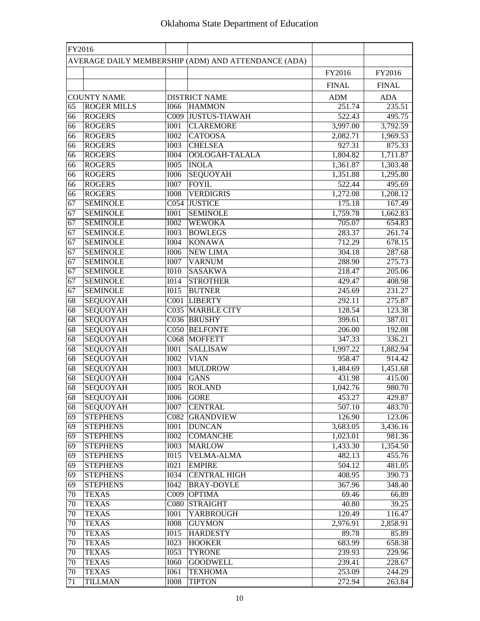| FY2016          |                                |                            |                                                     |                      |                      |
|-----------------|--------------------------------|----------------------------|-----------------------------------------------------|----------------------|----------------------|
|                 |                                |                            | AVERAGE DAILY MEMBERSHIP (ADM) AND ATTENDANCE (ADA) |                      |                      |
|                 |                                |                            |                                                     | FY2016               | FY2016               |
|                 |                                |                            |                                                     | <b>FINAL</b>         | <b>FINAL</b>         |
|                 |                                |                            |                                                     |                      |                      |
|                 | <b>COUNTY NAME</b>             |                            | <b>DISTRICT NAME</b>                                | <b>ADM</b><br>251.74 | <b>ADA</b>           |
| 65              | <b>ROGER MILLS</b>             | <b>I066</b>                | <b>HAMMON</b>                                       |                      | 235.51               |
| 66<br>66        | <b>ROGERS</b>                  | <b>I001</b>                | C009 JUSTUS-TIAWAH<br><b>CLAREMORE</b>              | 522.43<br>3,997.00   | 495.75               |
|                 | <b>ROGERS</b>                  | <b>I002</b>                | <b>CATOOSA</b>                                      | 2,082.71             | 3,792.59<br>1,969.53 |
| 66<br>66        | <b>ROGERS</b><br><b>ROGERS</b> | <b>I003</b>                | <b>CHELSEA</b>                                      | 927.31               | 875.33               |
| 66              | <b>ROGERS</b>                  | <b>I004</b>                | OOLOGAH-TALALA                                      | 1,804.82             | 1,711.87             |
| 66              | <b>ROGERS</b>                  | <b>I005</b>                | <b>INOLA</b>                                        |                      |                      |
| 66              | <b>ROGERS</b>                  | <b>I006</b>                | SEQUOYAH                                            | 1,361.87<br>1,351.88 | 1,303.48             |
|                 |                                |                            | <b>FOYIL</b>                                        |                      | 1,295.80             |
| 66<br>66        | <b>ROGERS</b><br><b>ROGERS</b> | <b>I007</b><br><b>IOO8</b> | <b>VERDIGRIS</b>                                    | 522.44<br>1,272.08   | 495.69<br>1,208.12   |
| 67              | <b>SEMINOLE</b>                |                            | C054 JUSTICE                                        | 175.18               | 167.49               |
| 67              | <b>SEMINOLE</b>                | <b>I001</b>                | <b>SEMINOLE</b>                                     | 1,759.78             |                      |
| 67              | <b>SEMINOLE</b>                | <b>I002</b>                | <b>WEWOKA</b>                                       | 705.07               | 1,662.83             |
| 67              | <b>SEMINOLE</b>                | 1003                       | <b>BOWLEGS</b>                                      | 283.37               | 654.83<br>261.74     |
| 67              | <b>SEMINOLE</b>                | <b>I004</b>                | <b>KONAWA</b>                                       | 712.29               | 678.15               |
| 67              | <b>SEMINOLE</b>                | <b>I006</b>                | <b>NEW LIMA</b>                                     | 304.18               | 287.68               |
| 67              | <b>SEMINOLE</b>                | <b>I007</b>                | <b>VARNUM</b>                                       | 288.90               | 275.73               |
| 67              | <b>SEMINOLE</b>                | $\overline{1010}$          | <b>SASAKWA</b>                                      | 218.47               | 205.06               |
| 67              | <b>SEMINOLE</b>                | <b>I014</b>                | <b>STROTHER</b>                                     | 429.47               | 408.98               |
| 67              | <b>SEMINOLE</b>                | <b>IO15</b>                | <b>BUTNER</b>                                       | 245.69               | 231.27               |
| 68              | <b>SEQUOYAH</b>                |                            | C001 LIBERTY                                        | 292.11               | 275.87               |
| 68              | <b>SEQUOYAH</b>                |                            | C035 MARBLE CITY                                    | 128.54               | 123.38               |
| 68              | <b>SEQUOYAH</b>                |                            | C036 BRUSHY                                         | 399.61               | 387.01               |
| $\overline{68}$ | <b>SEQUOYAH</b>                |                            | C050 BELFONTE                                       | 206.00               | 192.08               |
| 68              | <b>SEQUOYAH</b>                |                            | C068 MOFFETT                                        | 347.33               | 336.21               |
| 68              | <b>SEQUOYAH</b>                | <b>I001</b>                | <b>SALLISAW</b>                                     | 1,997.22             | 1,882.94             |
| 68              | <b>SEQUOYAH</b>                | <b>I002</b>                | <b>VIAN</b>                                         | 958.47               | 914.42               |
| 68              | <b>SEQUOYAH</b>                | <b>I003</b>                | <b>MULDROW</b>                                      | 1,484.69             | 1,451.68             |
| 68              | <b>SEQUOYAH</b>                | <b>I004</b>                | <b>GANS</b>                                         | 431.98               | 415.00               |
| 68              | <b>SEQUOYAH</b>                | <b>I005</b>                | <b>ROLAND</b>                                       | 1,042.76             | 980.70               |
| 68              | <b>SEQUOYAH</b>                | <b>I006</b>                | <b>GORE</b>                                         | 453.27               | 429.87               |
| 68              | <b>SEQUOYAH</b>                | 1007                       | <b>CENTRAL</b>                                      | 507.10               | 483.70               |
| 69              | <b>STEPHENS</b>                | $\overline{C082}$          | <b>GRANDVIEW</b>                                    | 126.90               | 123.06               |
| 69              | <b>STEPHENS</b>                | 1001                       | <b>DUNCAN</b>                                       | 3,683.05             | 3,436.16             |
| 69              | <b>STEPHENS</b>                | 1002                       | <b>COMANCHE</b>                                     | 1,023.01             | 981.36               |
| 69              | <b>STEPHENS</b>                | <b>I003</b>                | <b>MARLOW</b>                                       | 1,433.30             | 1,354.50             |
| 69              | <b>STEPHENS</b>                | I015                       | <b>VELMA-ALMA</b>                                   | 482.13               | 455.76               |
| 69              | <b>STEPHENS</b>                | I021                       | <b>EMPIRE</b>                                       | 504.12               | 481.05               |
| 69              | <b>STEPHENS</b>                | <b>I034</b>                | <b>CENTRAL HIGH</b>                                 | 408.95               | 390.73               |
| 69              | <b>STEPHENS</b>                | <b>I042</b>                | <b>BRAY-DOYLE</b>                                   | 367.96               | 348.40               |
| $70\,$          | <b>TEXAS</b>                   | C009                       | <b>OPTIMA</b>                                       | 69.46                | 66.89                |
| 70              | <b>TEXAS</b>                   |                            | C080 STRAIGHT                                       | 40.80                | 39.25                |
| 70              | <b>TEXAS</b>                   | <b>I001</b>                | <b>YARBROUGH</b>                                    | 120.49               | 116.47               |
| 70              | <b>TEXAS</b>                   | <b>I008</b>                | <b>GUYMON</b>                                       | 2,976.91             | 2,858.91             |
| 70              | <b>TEXAS</b>                   | I015                       | <b>HARDESTY</b>                                     | 89.78                | 85.89                |
| 70              | <b>TEXAS</b>                   | <b>I023</b>                | <b>HOOKER</b>                                       | 683.99               | 658.38               |
| 70              | <b>TEXAS</b>                   | <b>I053</b>                | <b>TYRONE</b>                                       | 239.93               | 229.96               |
| 70              | <b>TEXAS</b>                   | <b>I060</b>                | <b>GOODWELL</b>                                     | 239.41               | 228.67               |
| 70              | <b>TEXAS</b>                   | <b>I061</b>                | <b>TEXHOMA</b>                                      | 253.09               | 244.29               |
| 71              | <b>TILLMAN</b>                 | <b>IOO8</b>                | <b>TIPTON</b>                                       | 272.94               | 263.84               |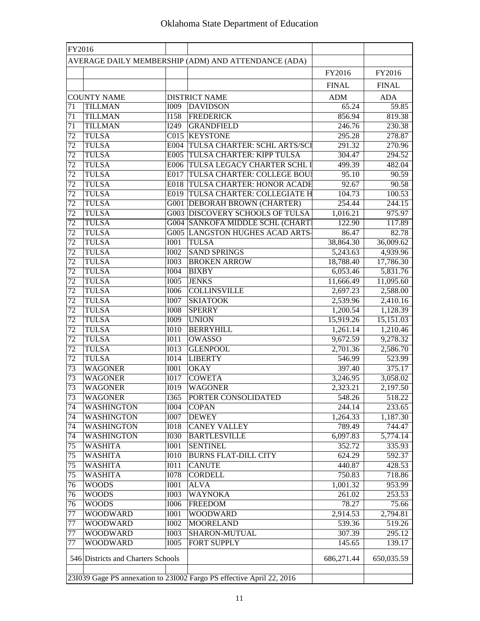| FY2016          |                                    |                   |                                                                       |              |              |
|-----------------|------------------------------------|-------------------|-----------------------------------------------------------------------|--------------|--------------|
|                 |                                    |                   | AVERAGE DAILY MEMBERSHIP (ADM) AND ATTENDANCE (ADA)                   |              |              |
|                 |                                    |                   |                                                                       | FY2016       | FY2016       |
|                 |                                    |                   |                                                                       | <b>FINAL</b> | <b>FINAL</b> |
|                 | <b>COUNTY NAME</b>                 |                   | <b>DISTRICT NAME</b>                                                  | <b>ADM</b>   | <b>ADA</b>   |
| 71              | <b>TILLMAN</b>                     | <b>I009</b>       | <b>DAVIDSON</b>                                                       | 65.24        | 59.85        |
| 71              | <b>TILLMAN</b>                     | I158              | <b>FREDERICK</b>                                                      | 856.94       | 819.38       |
| 71              | <b>TILLMAN</b>                     | I249              | <b>GRANDFIELD</b>                                                     | 246.76       | 230.38       |
| 72              | <b>TULSA</b>                       |                   | C015 KEYSTONE                                                         | 295.28       | 278.87       |
| 72              | <b>TULSA</b>                       |                   | E004 TULSA CHARTER: SCHL ARTS/SCI                                     | 291.32       | 270.96       |
| 72              | <b>TULSA</b>                       |                   | E005 TULSA CHARTER: KIPP TULSA                                        | 304.47       | 294.52       |
| 72              | <b>TULSA</b>                       |                   | E006 TULSA LEGACY CHARTER SCHL I                                      | 499.39       | 482.04       |
| 72              | <b>TULSA</b>                       |                   | E017 TULSA CHARTER: COLLEGE BOU                                       | 95.10        | 90.59        |
| 72              | <b>TULSA</b>                       |                   | E018 TULSA CHARTER: HONOR ACADE                                       | 92.67        | 90.58        |
| 72              | <b>TULSA</b>                       |                   | E019 TULSA CHARTER: COLLEGIATE H                                      | 104.73       | 100.53       |
| 72              | <b>TULSA</b>                       |                   | <b>G001 DEBORAH BROWN (CHARTER)</b>                                   | 254.44       | 244.15       |
| 72              | <b>TULSA</b>                       |                   | <b>G003 DISCOVERY SCHOOLS OF TULSA</b>                                | 1,016.21     | 975.97       |
| 72              | <b>TULSA</b>                       |                   | <b>G004 SANKOFA MIDDLE SCHL (CHART)</b>                               | 122.90       | 117.89       |
| 72              | <b>TULSA</b>                       |                   | <b>G005 LANGSTON HUGHES ACAD ARTS-</b>                                | 86.47        | 82.78        |
| 72              | <b>TULSA</b>                       | $\overline{IO01}$ | <b>TULSA</b>                                                          | 38,864.30    | 36,009.62    |
| 72              | <b>TULSA</b>                       | 1002              | <b>SAND SPRINGS</b>                                                   | 5,243.63     | 4,939.96     |
| 72              | <b>TULSA</b>                       | $\overline{1003}$ | <b>BROKEN ARROW</b>                                                   | 18,788.40    | 17,786.30    |
| 72              | <b>TULSA</b>                       | <b>I004</b>       | <b>BIXBY</b>                                                          | 6,053.46     | 5,831.76     |
| $\overline{72}$ | <b>TULSA</b>                       | 1005              | <b>JENKS</b>                                                          | 11,666.49    | 11,095.60    |
| 72              | <b>TULSA</b>                       | <b>I006</b>       | <b>COLLINSVILLE</b>                                                   | 2,697.23     | 2,588.00     |
| 72              | <b>TULSA</b>                       | <b>I007</b>       | <b>SKIATOOK</b>                                                       | 2,539.96     | 2,410.16     |
| 72              | <b>TULSA</b>                       | <b>I008</b>       | <b>SPERRY</b>                                                         | 1,200.54     | 1,128.39     |
| 72              | <b>TULSA</b>                       | I009              | <b>UNION</b>                                                          | 15,919.26    | 15,151.03    |
| 72              | <b>TULSA</b>                       | <b>I010</b>       | <b>BERRYHILL</b>                                                      | 1,261.14     | 1,210.46     |
| $\overline{72}$ | <b>TULSA</b>                       | I011              | OWASSO                                                                | 9,672.59     | 9,278.32     |
| 72              | <b>TULSA</b>                       | <b>I013</b>       | <b>GLENPOOL</b>                                                       | 2,701.36     | 2,586.70     |
| 72              | <b>TULSA</b>                       | <b>IO14</b>       | <b>LIBERTY</b>                                                        | 546.99       | 523.99       |
| 73              | <b>WAGONER</b>                     | <b>I001</b>       | <b>OKAY</b>                                                           | 397.40       | 375.17       |
| 73              | <b>WAGONER</b>                     | <b>I017</b>       | <b>COWETA</b>                                                         | 3,246.95     | 3,058.02     |
| 73              | <b>WAGONER</b>                     | <b>I019</b>       | <b>WAGONER</b>                                                        | 2,323.21     | 2,197.50     |
| 73              | <b>WAGONER</b>                     | I365              | PORTER CONSOLIDATED                                                   | 548.26       | 518.22       |
| $\overline{74}$ | <b>WASHINGTON</b>                  | $\overline{1004}$ | <b>COPAN</b>                                                          | 244.14       | 233.65       |
| 74              | <b>WASHINGTON</b>                  | $\overline{1007}$ | <b>DEWEY</b>                                                          | 1,264.33     | 1,187.30     |
| 74              | <b>WASHINGTON</b>                  | <b>IO18</b>       | <b>CANEY VALLEY</b>                                                   | 789.49       | 744.47       |
| 74              | <b>WASHINGTON</b>                  | <b>I030</b>       | <b>BARTLESVILLE</b>                                                   | 6,097.83     | 5,774.14     |
| 75              | <b>WASHITA</b>                     | <b>I001</b>       | <b>SENTINEL</b>                                                       | 352.72       | 335.93       |
| 75              | <b>WASHITA</b>                     | <b>I010</b>       | <b>BURNS FLAT-DILL CITY</b>                                           | 624.29       | 592.37       |
| 75              | <b>WASHITA</b>                     | I011              | <b>CANUTE</b>                                                         | 440.87       | 428.53       |
| 75              | <b>WASHITA</b>                     | <b>I078</b>       | <b>CORDELL</b>                                                        | 750.83       | 718.86       |
| 76              | <b>WOODS</b>                       | <b>I001</b>       | <b>ALVA</b>                                                           | 1,001.32     | 953.99       |
| 76              | <b>WOODS</b>                       | <b>I003</b>       | <b>WAYNOKA</b>                                                        | 261.02       | 253.53       |
| 76              | <b>WOODS</b>                       | <b>I006</b>       | <b>FREEDOM</b>                                                        | 78.27        | 75.66        |
| 77              | <b>WOODWARD</b>                    | <b>IOO1</b>       | <b>WOODWARD</b>                                                       | 2,914.53     | 2,794.81     |
| 77              | <b>WOODWARD</b><br><b>WOODWARD</b> | <b>I002</b>       | <b>MOORELAND</b>                                                      | 539.36       | 519.26       |
| 77              | <b>WOODWARD</b>                    | <b>I003</b>       | <b>SHARON-MUTUAL</b><br><b>FORT SUPPLY</b>                            | 307.39       | 295.12       |
| 77              |                                    | <b>I005</b>       |                                                                       | 145.65       | 139.17       |
|                 | 546 Districts and Charters Schools |                   |                                                                       | 686,271.44   | 650,035.59   |
|                 |                                    |                   | 231039 Gage PS annexation to 231002 Fargo PS effective April 22, 2016 |              |              |
|                 |                                    |                   |                                                                       |              |              |